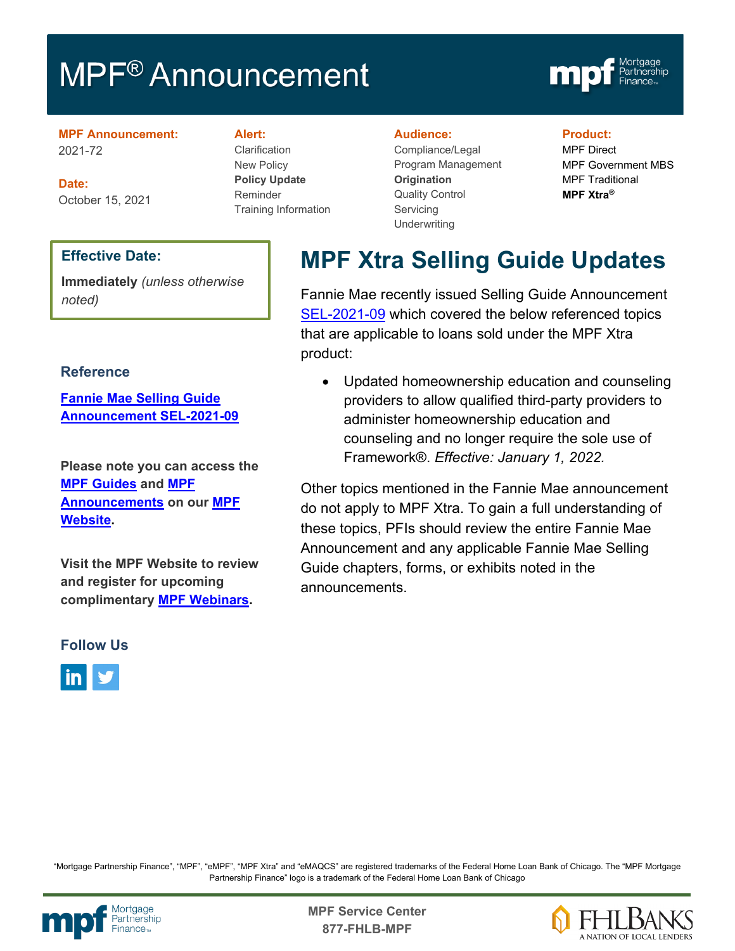# MPF<sup>®</sup> Announcement



**MPF Announcement:** 2021-72

**Date:** October 15, 2021

### **Alert:**

Clarification New Policy **Policy Update** Reminder Training Information

#### **Audience:**

Compliance/Legal Program Management **Origination**  Quality Control **Servicing Underwriting** 

#### **Product:**

MPF Direct MPF Government MBS MPF Traditional **MPF Xtra®**

#### **Effective Date:**

**Immediately** *(unless otherwise noted)*

#### **Reference**

**[Fannie Mae Selling Guide](https://singlefamily.fanniemae.com/media/29311/display)  [Announcement SEL-2021-09](https://singlefamily.fanniemae.com/media/29311/display)**

**Please note you can access the [MPF Guides](https://fhlbmpf.com/mpf-guides/guides) and [MPF](https://fhlbmpf.com/mpf-guides/announcements)  [Announcements](https://fhlbmpf.com/mpf-guides/announcements) on our [MPF](https://fhlbmpf.com/)  [Website.](https://fhlbmpf.com/)** 

**Visit the MPF Website to review and register for upcoming complimentary [MPF Webinars.](https://www.fhlbmpf.com/education/upcoming-webinars)**

#### **Follow Us**



## **MPF Xtra Selling Guide Updates**

Fannie Mae recently issued Selling Guide Announcement [SEL-2021-09](https://singlefamily.fanniemae.com/media/29311/display) which covered the below referenced topics that are applicable to loans sold under the MPF Xtra product:

• Updated homeownership education and counseling providers to allow qualified third-party providers to administer homeownership education and counseling and no longer require the sole use of Framework®. *Effective: January 1, 2022.*

Other topics mentioned in the Fannie Mae announcement do not apply to MPF Xtra. To gain a full understanding of these topics, PFIs should review the entire Fannie Mae Announcement and any applicable Fannie Mae Selling Guide chapters, forms, or exhibits noted in the announcements.

"Mortgage Partnership Finance", "MPF", "eMPF", "MPF Xtra" and "eMAQCS" are registered trademarks of the Federal Home Loan Bank of Chicago. The "MPF Mortgage Partnership Finance" logo is a trademark of the Federal Home Loan Bank of Chicago



Mortgage **Canadia Expansion Service Center**<br>Partnership **877-FHLB-MPF**

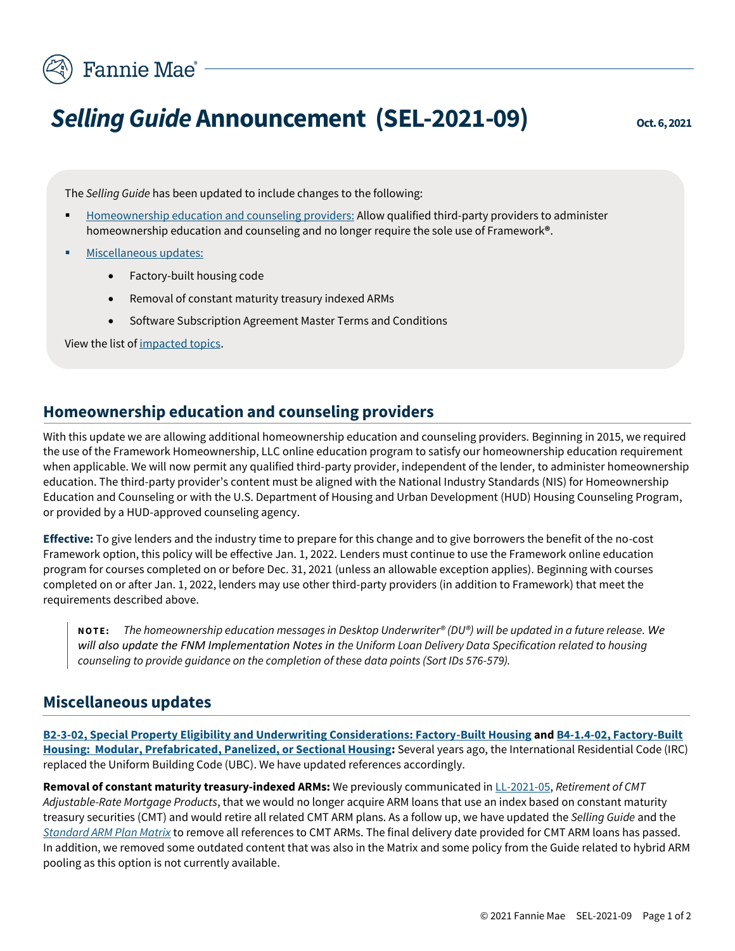

# **Selling Guide Announcement (SEL-2021-09)**  $\qquad \text{Oct. 6, 2021}$

The *Selling Guide* has been updated to include changes to the following:

- [Homeownership education](#page-1-0) and counseling providers: Allow qualified third-party providers to administer homeownership education and counseling and no longer require the sole use of Framework**®**.
- [Miscellaneous updates:](#page-1-1)
	- Factory-built housing code
	- Removal of constant maturity treasury indexed ARMs
	- Software Subscription Agreement Master Terms and Conditions

View the list of [impacted topics.](#page-2-0)

#### <span id="page-1-0"></span>**Homeownership education and counseling providers**

With this update we are allowing additional homeownership education and counseling providers. Beginning in 2015, we required the use of the Framework Homeownership, LLC online education program to satisfy our homeownership education requirement when applicable. We will now permit any qualified third-party provider, independent of the lender, to administer homeownership education. The third-party provider's content must be aligned with the National Industry Standards (NIS) for Homeownership Education and Counseling or with the U.S. Department of Housing and Urban Development (HUD) Housing Counseling Program, or provided by a HUD-approved counseling agency.

**Effective:** To give lenders and the industry time to prepare for this change and to give borrowers the benefit of the no-cost Framework option, this policy will be effective Jan. 1, 2022. Lenders must continue to use the Framework online education program for courses completed on or before Dec. 31, 2021 (unless an allowable exception applies). Beginning with courses completed on or after Jan. 1, 2022, lenders may use other third-party providers (in addition to Framework) that meet the requirements described above.

**N O T E :** *The homeownership education messages in Desktop Underwriter® (DU®) will be updated in a future release. We will also update the FNM Implementation Notes in the Uniform Loan Delivery Data Specification related to housing counseling to provide guidance on the completion of these data points (Sort IDs 576-579).* 

#### <span id="page-1-1"></span>**Miscellaneous updates**

**[B2-3-02, Special Property Eligibility and Underwriting Considerations: Factory-Built Housing](https://singlefamily.fanniemae.com/media/document/pdf/selling-guide-october-6-2021#page=260) an[d B4-1.4-02, Factory-Built](https://singlefamily.fanniemae.com/media/document/pdf/selling-guide-october-6-2021#page=597)  [Housing: Modular, Prefabricated, Panelized, or Sectional Housing:](https://singlefamily.fanniemae.com/media/document/pdf/selling-guide-october-6-2021#page=597)** Several years ago, the International Residential Code (IRC) replaced the Uniform Building Code (UBC). We have updated references accordingly.

**Removal of constant maturity treasury-indexed ARMs:** We previously communicated i[n LL-2021-05,](https://singlefamily.fanniemae.com/media/document/pdf/lender-letter-ll-2021-05-retirement-cmt-adjustable-rate-mortgage-products) *Retirement of CMT Adjustable-Rate Mortgage Products*, that we would no longer acquire ARM loans that use an index based on constant maturity treasury securities (CMT) and would retire all related CMT ARM plans. As a follow up, we have updated the *Selling Guide* and the *[Standard ARM Plan Matrix](https://singlefamily.fanniemae.com/media/document/pdf/standard-arm-plan-matrix)* to remove all references to CMT ARMs. The final delivery date provided for CMT ARM loans has passed. In addition, we removed some outdated content that was also in the Matrix and some policy from the Guide related to hybrid ARM pooling as this option is not currently available.